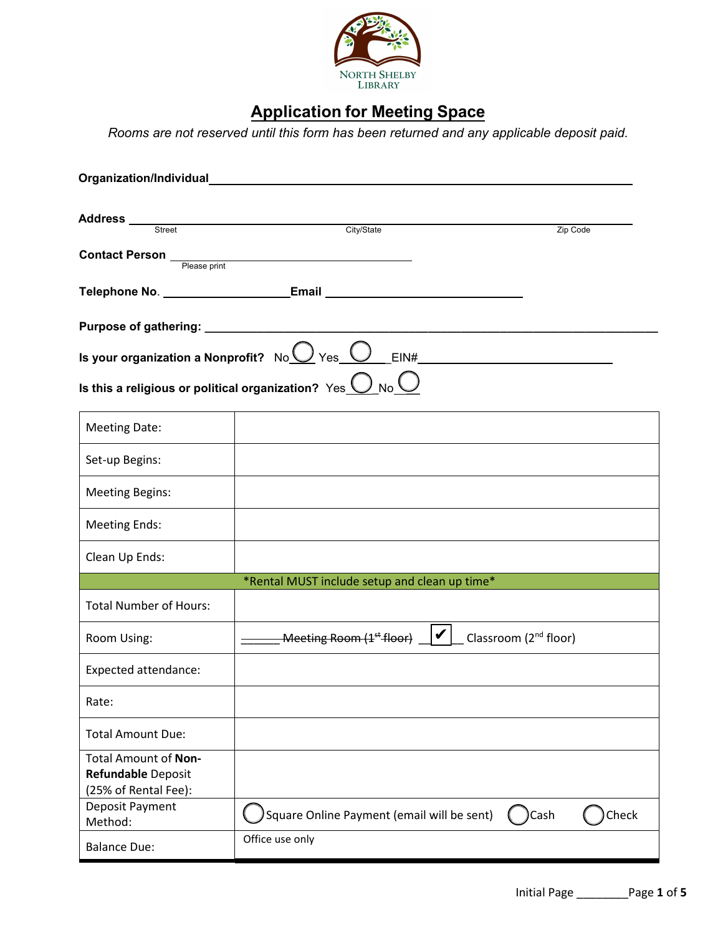

# **Application for Meeting Space**

*Rooms are not reserved until this form has been returned and any applicable deposit paid.*

| Address Street                                                     | City/State<br>Zip Code                                                                                                                                        |       |
|--------------------------------------------------------------------|---------------------------------------------------------------------------------------------------------------------------------------------------------------|-------|
| <b>Contact Person</b>                                              | Please print                                                                                                                                                  |       |
|                                                                    | Telephone No. ___________________________Email _________________________________                                                                              |       |
|                                                                    |                                                                                                                                                               |       |
|                                                                    | Is your organization a Nonprofit? No $\bigcup$ Yes $\bigcup$ EIN#<br>Is this a religious or political organization? $Yes \overline{\bigcup_{N0} \bigcup_{N}}$ |       |
|                                                                    |                                                                                                                                                               |       |
| <b>Meeting Date:</b>                                               |                                                                                                                                                               |       |
| Set-up Begins:                                                     |                                                                                                                                                               |       |
| <b>Meeting Begins:</b>                                             |                                                                                                                                                               |       |
| <b>Meeting Ends:</b>                                               |                                                                                                                                                               |       |
| Clean Up Ends:                                                     |                                                                                                                                                               |       |
|                                                                    | *Rental MUST include setup and clean up time*                                                                                                                 |       |
| <b>Total Number of Hours:</b>                                      |                                                                                                                                                               |       |
| Room Using:                                                        | $\rule{1em}{0.15mm}$ Meeting Room (1st floor) $\rule{1em}{0.15mm}$ $\mid$ $\mid$ $\mid$<br>Classroom (2 <sup>nd</sup> floor)                                  |       |
| <b>Expected attendance:</b>                                        |                                                                                                                                                               |       |
| Rate:                                                              |                                                                                                                                                               |       |
| <b>Total Amount Due:</b>                                           |                                                                                                                                                               |       |
| Total Amount of Non-<br>Refundable Deposit<br>(25% of Rental Fee): |                                                                                                                                                               |       |
| Deposit Payment<br>Method:                                         | Square Online Payment (email will be sent)<br>)Cash                                                                                                           | Check |
| <b>Balance Due:</b>                                                | Office use only                                                                                                                                               |       |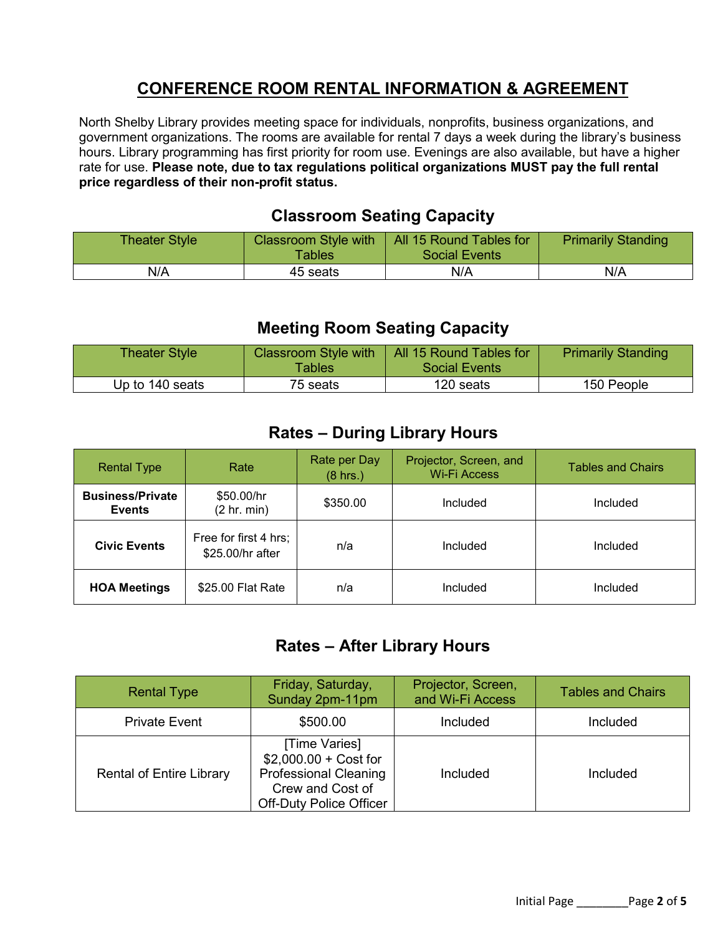#### **CONFERENCE ROOM RENTAL INFORMATION & AGREEMENT**

North Shelby Library provides meeting space for individuals, nonprofits, business organizations, and government organizations. The rooms are available for rental 7 days a week during the library's business hours. Library programming has first priority for room use. Evenings are also available, but have a higher rate for use. **Please note, due to tax regulations political organizations MUST pay the full rental price regardless of their non-profit status.**

#### **Classroom Seating Capacity**

| <b>Theater Style</b> | <b>Classroom Style with</b><br><b>Tables</b> | All 15 Round Tables for<br>Social Events | <b>Primarily Standing</b> |
|----------------------|----------------------------------------------|------------------------------------------|---------------------------|
| N/A                  | 45 seats                                     | N/A                                      | N/A                       |

#### **Meeting Room Seating Capacity**

| <b>Theater Style</b> | <b>Classroom Style with</b><br><b>Tables</b> | All 15 Round Tables for<br><b>Social Events</b> | <b>Primarily Standing</b> |
|----------------------|----------------------------------------------|-------------------------------------------------|---------------------------|
| Up to 140 seats      | 75 seats                                     | 120 seats                                       | 150 People                |

#### **Rates – During Library Hours**

| <b>Rental Type</b>                       | Rate                                      | Rate per Day<br>$(8 \text{ hrs.})$ | Projector, Screen, and<br><b>Wi-Fi Access</b> | <b>Tables and Chairs</b> |
|------------------------------------------|-------------------------------------------|------------------------------------|-----------------------------------------------|--------------------------|
| <b>Business/Private</b><br><b>Events</b> | \$50.00/hr<br>(2 hr. min)                 | \$350.00                           | Included                                      | Included                 |
| <b>Civic Events</b>                      | Free for first 4 hrs;<br>\$25.00/hr after | n/a                                | Included                                      | Included                 |
| <b>HOA Meetings</b>                      | \$25.00 Flat Rate                         | n/a                                | Included                                      | Included                 |

#### **Rates – After Library Hours**

| <b>Rental Type</b>              | Friday, Saturday,<br>Sunday 2pm-11pm                                                                                          | Projector, Screen,<br>and Wi-Fi Access | <b>Tables and Chairs</b> |
|---------------------------------|-------------------------------------------------------------------------------------------------------------------------------|----------------------------------------|--------------------------|
| <b>Private Event</b>            | \$500.00                                                                                                                      | Included                               | Included                 |
| <b>Rental of Entire Library</b> | [Time Varies]<br>$$2,000.00 + Cost for$<br><b>Professional Cleaning</b><br>Crew and Cost of<br><b>Off-Duty Police Officer</b> | Included                               | Included                 |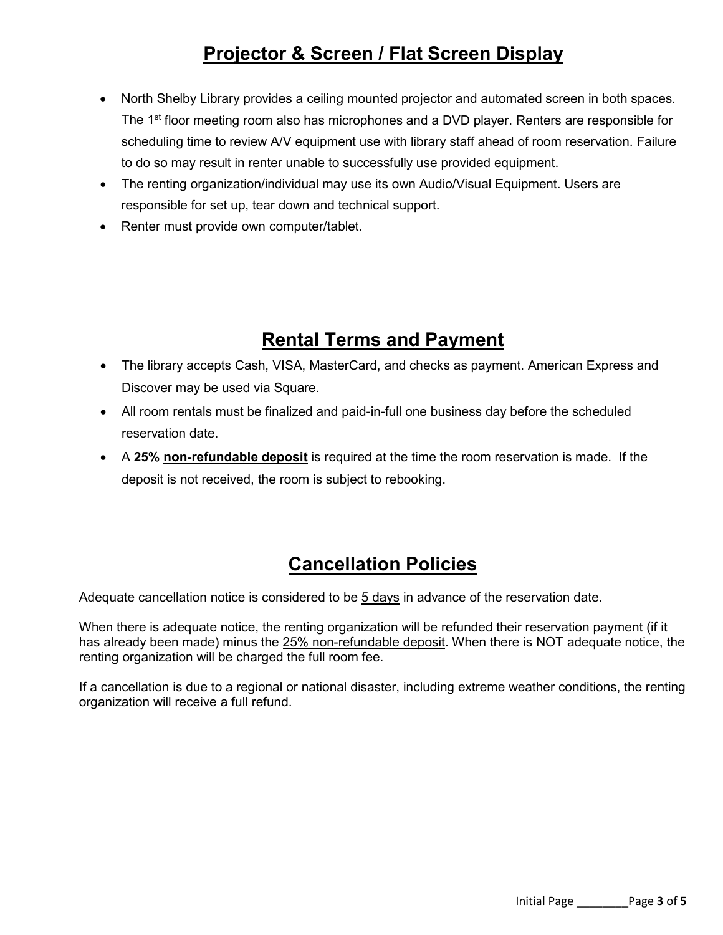# **Projector & Screen / Flat Screen Display**

- North Shelby Library provides a ceiling mounted projector and automated screen in both spaces. The 1<sup>st</sup> floor meeting room also has microphones and a DVD player. Renters are responsible for scheduling time to review A/V equipment use with library staff ahead of room reservation. Failure to do so may result in renter unable to successfully use provided equipment.
- The renting organization/individual may use its own Audio/Visual Equipment. Users are responsible for set up, tear down and technical support.
- Renter must provide own computer/tablet.

# **Rental Terms and Payment**

- The library accepts Cash, VISA, MasterCard, and checks as payment. American Express and Discover may be used via Square.
- All room rentals must be finalized and paid-in-full one business day before the scheduled reservation date.
- A **25% non-refundable deposit** is required at the time the room reservation is made. If the deposit is not received, the room is subject to rebooking.

# **Cancellation Policies**

Adequate cancellation notice is considered to be 5 days in advance of the reservation date.

When there is adequate notice, the renting organization will be refunded their reservation payment (if it has already been made) minus the 25% non-refundable deposit. When there is NOT adequate notice, the renting organization will be charged the full room fee.

If a cancellation is due to a regional or national disaster, including extreme weather conditions, the renting organization will receive a full refund.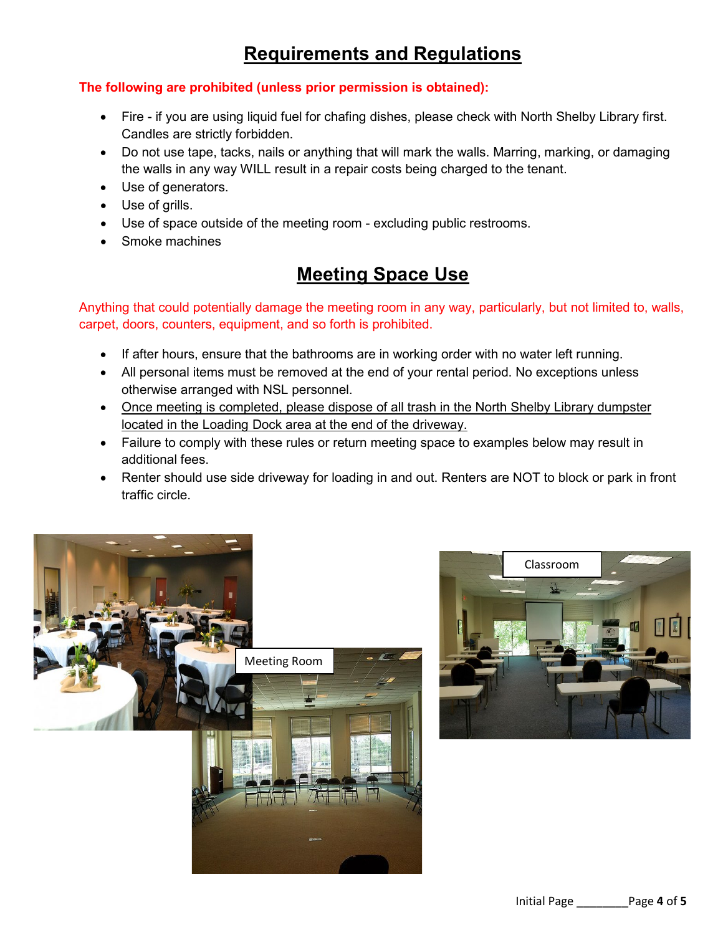# **Requirements and Regulations**

#### **The following are prohibited (unless prior permission is obtained):**

- Fire if you are using liquid fuel for chafing dishes, please check with North Shelby Library first. Candles are strictly forbidden.
- Do not use tape, tacks, nails or anything that will mark the walls. Marring, marking, or damaging the walls in any way WILL result in a repair costs being charged to the tenant.
- Use of generators.
- Use of grills.
- Use of space outside of the meeting room excluding public restrooms.
- Smoke machines

## **Meeting Space Use**

Anything that could potentially damage the meeting room in any way, particularly, but not limited to, walls, carpet, doors, counters, equipment, and so forth is prohibited.

- If after hours, ensure that the bathrooms are in working order with no water left running.
- All personal items must be removed at the end of your rental period. No exceptions unless otherwise arranged with NSL personnel.
- Once meeting is completed, please dispose of all trash in the North Shelby Library dumpster located in the Loading Dock area at the end of the driveway.
- Failure to comply with these rules or return meeting space to examples below may result in additional fees.
- Renter should use side driveway for loading in and out. Renters are NOT to block or park in front traffic circle.